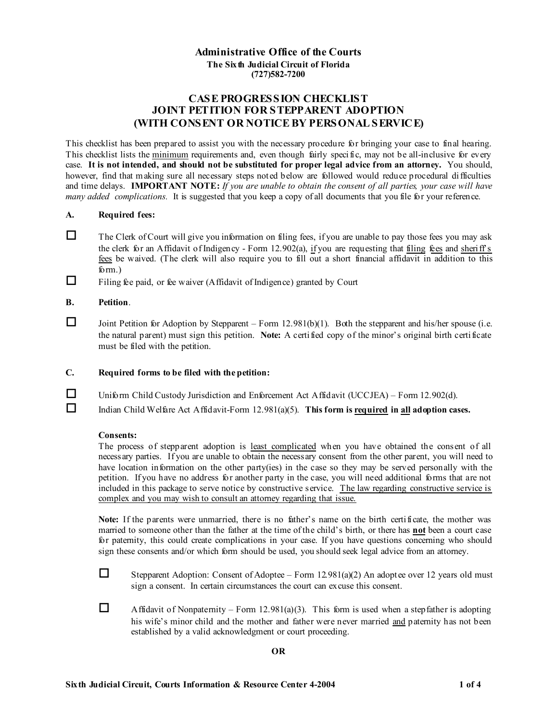## **Administrative Office of the Courts The Sixth Judicial Circuit of Florida (727)582-7200**

# **CASE PROGRESSION CHECKLIST JOINT PETITION FOR STEPPARENT ADOPTION (WITH CONSENT OR NOTICE BY PERSONAL SERVICE)**

This checklist has been prepared to assist you with the necessary procedure for bringing your case to final hearing. This checklist lists the minimum requirements and, even though fairly specific, may not be all-inclusive for every case. **It is not intended, and should not be substituted for proper legal advice from an attorney.** You should, however, find that making sure all necessary steps not ed below are followed would reduce procedural difficulties and time delays. **IMPORTANT NOTE:** *If you are unable to obtain the consent of all parties, your case will have many added complications.* It is suggested that you keep a copy of all documents that you file for your reference.

#### **A. Required fees:**

- $\Box$  The Clerk of Court will give you information on filing fees, if you are unable to pay those fees you may ask the clerk for an Affidavit of Indigency - Form 12.902(a), if you are requesting that filing fees and sheriff's fees be waived. (The clerk will also require you to fill out a short financial affidavit in addition to this form.)
- $\Box$  Filing fee paid, or fee waiver (Affidavit of Indigence) granted by Court

### **B. Petition**.

- Joint Petition for Adoption by Stepparent Form  $12.981(b)(1)$ . Both the stepparent and his/her spouse (i.e. the natural parent) must sign this petition. **Note:** A certified copy of the minor's original birth certificate must be filed with the petition.
- **C. Required forms to be filed with the petition:**
- Uniform Child Custody Jurisdiction and Enforcement Act Affidavit (UCCJEA) Form 12.902(d).
- Indian Child Welfare Act Affidavit-Form 12.981(a)(5). **This form is required in all adoption cases.**

#### **Consents:**

The process of stepparent adoption is least complicated when you have obtained the consent of all necessary parties. If you are unable to obtain the necessary consent from the other parent, you will need to have location information on the other party(ies) in the case so they may be served personally with the petition. If you have no address for another party in the case, you will need additional forms that are not included in this package to serve notice by constructive service. The law regarding constructive service is complex and you may wish to consult an attorney regarding that issue.

**Note:** If the parents were unmarried, there is no father's name on the birth certificate, the mother was married to someone other than the father at the time of the child's birth, or there has **not** been a court case for paternity, this could create complications in your case. If you have questions concerning who should sign these consents and/or which form should be used, you should seek legal advice from an attorney.

Stepparent Adoption: Consent of Adoptee – Form  $12.981(a)(2)$  An adoptee over 12 years old must sign a consent. In certain circumstances the court can excuse this consent.

Affidavit of Nonpaternity – Form 12.981(a)(3). This form is used when a stepfather is adopting his wife's minor child and the mother and father were never married and paternity has not been established by a valid acknowledgment or court proceeding.

#### **OR**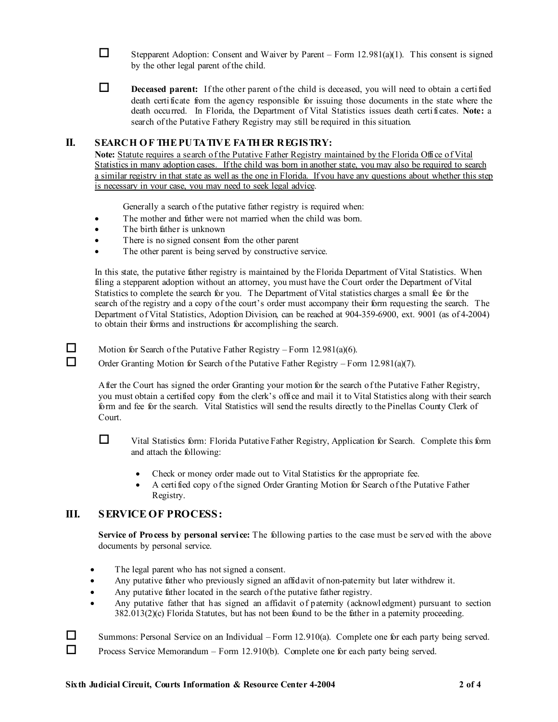- Stepparent Adoption: Consent and Waiver by Parent Form  $12.981(a)(1)$ . This consent is signed by the other legal parent of the child.
- Deceased parent: If the other parent of the child is deceased, you will need to obtain a certified death certificate from the agency responsible for issuing those documents in the state where the death occurred. In Florida, the Department of Vital Statistics issues death certifi cates. **Note:** a search of the Putative Fathery Registry may still be required in this situation.

## **II. SEARCH OF THE PUTATIVE FATHER REGISTRY:**

Note: Statute requires a search of the Putative Father Registry maintained by the Florida Office of Vital Statistics in many adoption cases. If the child was born in another state, you may also be required to search a similar registry in that state as well as the one in Florida. If you have any questions about whether this step is necessary in your case, you may need to seek legal advice.

Generally a search of the putative father registry is required when:

- The mother and father were not married when the child was born.
- The birth father is unknown
- There is no signed consent from the other parent
- The other parent is being served by constructive service.

In this state, the putative father registry is maintained by the Florida Department of Vital Statistics. When filing a stepparent adoption without an attorney, you must have the Court order the Department of Vital Statistics to complete the search for you. The Department of Vital statistics charges a small fee for the search of the registry and a copy of the court's order must accompany their form requesting the search. The Department of Vital Statistics, Adoption Division, can be reached at 904-359-6900, ext. 9001 (as of 4-2004) to obtain their forms and instructions for accomplishing the search.

Motion for Search of the Putative Father Registry – Form  $12.981(a)(6)$ .

Order Granting Motion for Search of the Putative Father Registry – Form  $12.981(a)(7)$ .

After the Court has signed the order Granting your motion for the search of the Putative Father Registry, you must obtain a certified copy from the clerk's office and mail it to Vital Statistics along with their search form and fee for the search. Vital Statistics will send the results directly to the Pinellas County Clerk of Court.

 Vital Statistics form: Florida Putative Father Registry, Application for Search. Complete this form and attach the following:

- Check or money order made out to Vital Statistics for the appropriate fee.
- A certified copy of the signed Order Granting Motion for Search of the Putative Father Registry.

## **III. SERVICE OF PROCESS:**

**Service of Process by personal service:** The following parties to the case must be served with the above documents by personal service.

- The legal parent who has not signed a consent.
- Any putative father who previously signed an affidavit of non-paternity but later withdrew it.
- Any putative father located in the search of the putative father registry.
- Any putative father that has signed an affidavit of paternity (acknowl edgment) pursuant to section 382.013(2)(c) Florida Statutes, but has not been found to be the father in a paternity proceeding.

 $\Box$  Summons: Personal Service on an Individual – Form 12.910(a). Complete one for each party being served.

Process Service Memorandum – Form 12.910(b). Complete one for each party being served.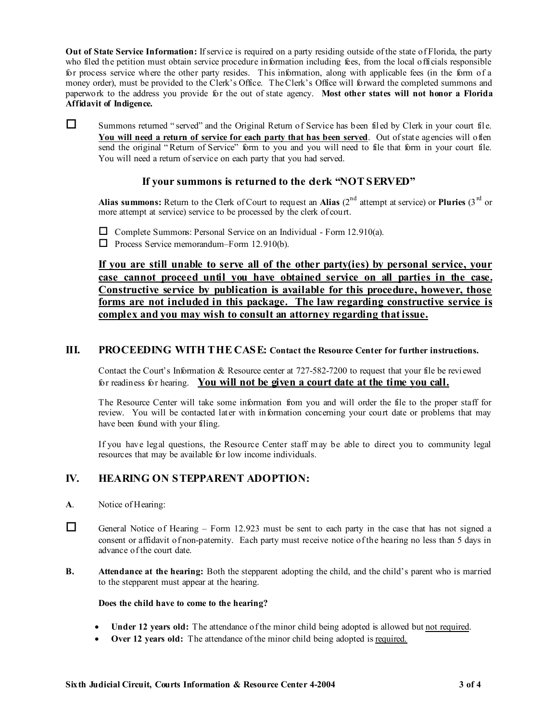**Out of State Service Information:** If service is required on a party residing outside of the state of Florida, the party who filed the petition must obtain service procedure information including fees, from the local officials responsible for process service where the other party resides. This information, along with applicable fees (in the form of a money order), must be provided to the Clerk's Office. The Clerk's Office will forward the completed summons and paperwork to the address you provide for the out of state agency. **Most other states will not honor a Florida Affidavit of Indigence.** 

Summons returned " served" and the Original Return of Service has been filed by Clerk in your court file. **You will need a return of service for each party that has been served**. Out of state agencies will often send the original "Return of Service" form to you and you will need to file that form in your court file. You will need a return of service on each party that you had served.

# If your summons is returned to the derk "NOT SERVED"

Alias summons: Return to the Clerk of Court to request an Alias (2<sup>nd</sup> attempt at service) or Pluries (3<sup>rd</sup> or more attempt at service) service to be processed by the clerk of court.

 $\Box$  Complete Summons: Personal Service on an Individual - Form 12.910(a).

 $\Box$  Process Service memorandum–Form 12.910(b).

**If you are still unable to serve all of the other party(ies) by personal service, your case cannot proceed until you have obtained service on all parties in the case. Constructive service by publication is available for this procedure, however, those forms are not included in this package. The law regarding constructive service is complex and you may wish to consult an attorney regarding that issue.**

# **III. PROCEEDING WITH THE CASE: Contact the Resource Center for further instructions.**

Contact the Court's Information & Resource center at 727-582-7200 to request that your file be reviewed for readiness for hearing. **You will not be given a court date at the time you call.**

The Resource Center will take some information from you and will order the file to the proper staff for review. You will be contacted later with information concerning your court date or problems that may have been found with your filing.

If you have legal questions, the Resource Center staff may be able to direct you to community legal resources that may be available for low income individuals.

# **IV. HEARING ON STEPPARENT ADOPTION:**

- **A**. Notice of Hearing:
- General Notice of Hearing Form 12.923 must be sent to each party in the case that has not signed a consent or affidavit of non-paternity. Each party must receive notice of the hearing no less than 5 days in advance of the court date.
- **B. Attendance at the hearing:** Both the stepparent adopting the child, and the child's parent who is married to the stepparent must appear at the hearing.

#### **Does the child have to come to the hearing?**

- **Under 12 years old:** The attendance of the minor child being adopted is allowed but not required.
- **Over 12 years old:** The attendance of the minor child being adopted is required.